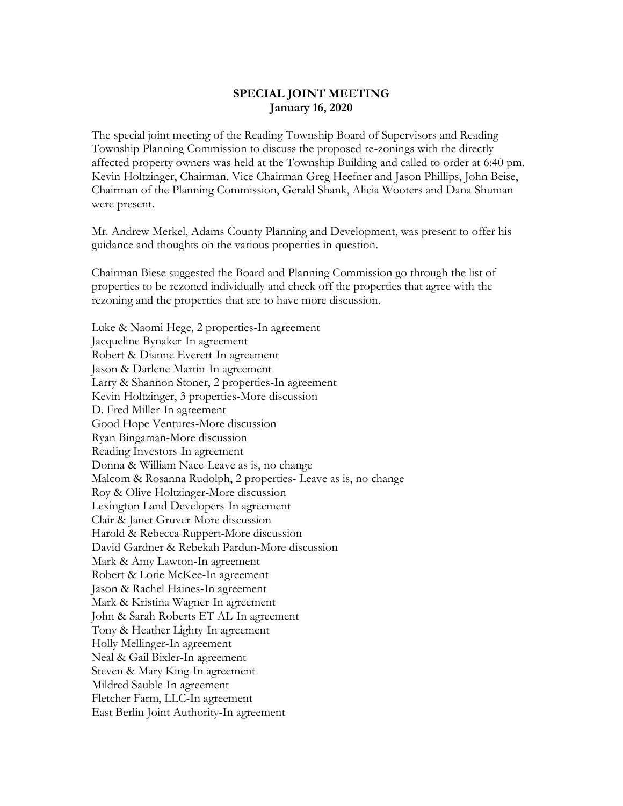## **SPECIAL JOINT MEETING January 16, 2020**

The special joint meeting of the Reading Township Board of Supervisors and Reading Township Planning Commission to discuss the proposed re-zonings with the directly affected property owners was held at the Township Building and called to order at 6:40 pm. Kevin Holtzinger, Chairman. Vice Chairman Greg Heefner and Jason Phillips, John Beise, Chairman of the Planning Commission, Gerald Shank, Alicia Wooters and Dana Shuman were present.

Mr. Andrew Merkel, Adams County Planning and Development, was present to offer his guidance and thoughts on the various properties in question.

Chairman Biese suggested the Board and Planning Commission go through the list of properties to be rezoned individually and check off the properties that agree with the rezoning and the properties that are to have more discussion.

Luke & Naomi Hege, 2 properties-In agreement Jacqueline Bynaker-In agreement Robert & Dianne Everett-In agreement Jason & Darlene Martin-In agreement Larry & Shannon Stoner, 2 properties-In agreement Kevin Holtzinger, 3 properties-More discussion D. Fred Miller-In agreement Good Hope Ventures-More discussion Ryan Bingaman-More discussion Reading Investors-In agreement Donna & William Nace-Leave as is, no change Malcom & Rosanna Rudolph, 2 properties- Leave as is, no change Roy & Olive Holtzinger-More discussion Lexington Land Developers-In agreement Clair & Janet Gruver-More discussion Harold & Rebecca Ruppert-More discussion David Gardner & Rebekah Pardun-More discussion Mark & Amy Lawton-In agreement Robert & Lorie McKee-In agreement Jason & Rachel Haines-In agreement Mark & Kristina Wagner-In agreement John & Sarah Roberts ET AL-In agreement Tony & Heather Lighty-In agreement Holly Mellinger-In agreement Neal & Gail Bixler-In agreement Steven & Mary King-In agreement Mildred Sauble-In agreement Fletcher Farm, LLC-In agreement East Berlin Joint Authority-In agreement